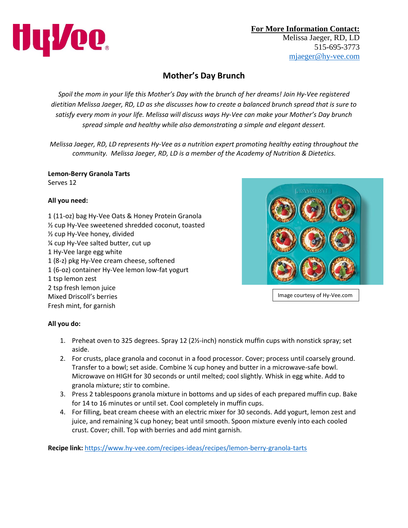

## **Mother's Day Brunch**

*Spoil the mom in your life this Mother's Day with the brunch of her dreams! Join Hy-Vee registered dietitian Melissa Jaeger, RD, LD as she discusses how to create a balanced brunch spread that is sure to satisfy every mom in your life. Melissa will discuss ways Hy-Vee can make your Mother's Day brunch spread simple and healthy while also demonstrating a simple and elegant dessert.*

*Melissa Jaeger, RD, LD represents Hy-Vee as a nutrition expert promoting healthy eating throughout the community. Melissa Jaeger, RD, LD is a member of the Academy of Nutrition & Dietetics.*

**Lemon-Berry Granola Tarts** Serves 12

## **All you need:**

1 (11-oz) bag Hy-Vee Oats & Honey Protein Granola ½ cup Hy-Vee sweetened shredded coconut, toasted ½ cup Hy-Vee honey, divided ¼ cup Hy-Vee salted butter, cut up 1 Hy-Vee large egg white 1 (8-z) pkg Hy-Vee cream cheese, softened 1 (6-oz) container Hy-Vee lemon low-fat yogurt 1 tsp lemon zest 2 tsp fresh lemon juice Mixed Driscoll's berries Fresh mint, for garnish



Image courtesy of Hy-Vee.com

## **All you do:**

- 1. Preheat oven to 325 degrees. Spray 12 (2½-inch) nonstick muffin cups with nonstick spray; set aside.
- 2. For crusts, place granola and coconut in a food processor. Cover; process until coarsely ground. Transfer to a bowl; set aside. Combine ¼ cup honey and butter in a microwave-safe bowl. Microwave on HIGH for 30 seconds or until melted; cool slightly. Whisk in egg white. Add to granola mixture; stir to combine.
- 3. Press 2 tablespoons granola mixture in bottoms and up sides of each prepared muffin cup. Bake for 14 to 16 minutes or until set. Cool completely in muffin cups.
- 4. For filling, beat cream cheese with an electric mixer for 30 seconds. Add yogurt, lemon zest and juice, and remaining ¼ cup honey; beat until smooth. Spoon mixture evenly into each cooled crust. Cover; chill. Top with berries and add mint garnish.

**Recipe link:** <https://www.hy-vee.com/recipes-ideas/recipes/lemon-berry-granola-tarts>